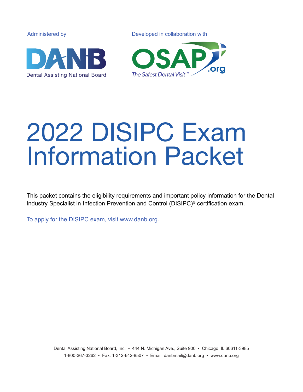Administered by Developed in collaboration withThe Safest Dental Visit<sup>™</sup> **Dental Assisting National Board** 

# 2022 DISIPC Exam Information Packet

This packet contains the eligibility requirements and important policy information for the Dental Industry Specialist in Infection Prevention and Control (DISIPC)® certification exam.

To apply for the DISIPC exam, visit www.danb.org.

Dental Assisting National Board, Inc. • 444 N. Michigan Ave., Suite 900 • Chicago, IL 60611-3985 1-800-367-3262 • Fax: 1-312-642-8507 • Email: danbmail@danb.org • www.danb.org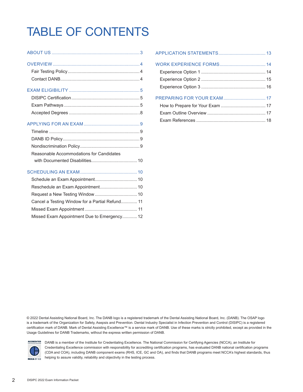## TABLE OF CONTENTS

| Reasonable Accommodations for Candidates        |  |
|-------------------------------------------------|--|
|                                                 |  |
|                                                 |  |
|                                                 |  |
|                                                 |  |
|                                                 |  |
| Cancel a Testing Window for a Partial Refund 11 |  |
|                                                 |  |
| Missed Exam Appointment Due to Emergency 12     |  |

© 2022 Dental Assisting National Board, Inc. The DANB logo is a registered trademark of the Dental Assisting National Board, Inc. (DANB). The OSAP logo is a trademark of the Organization for Safety, Asepsis and Prevention. Dental Industry Specialist in Infection Prevention and Control (DISIPC) is a registered certification mark of DANB. Mark of Dental Assisting Excellence™ is a service mark of DANB. Use of these marks is strictly prohibited, except as provided in the Usage Guidelines for DANB Trademarks, without the express written permission of DANB.



DANB is a member of the Institute for Credentialing Excellence. The National Commission for Certifying Agencies (NCCA), an Institute for Credentialing Excellence commission with responsibility for accrediting certification programs, has evaluated DANB national certification programs (CDA and COA), including DANB component exams (RHS, ICE, GC and OA), and finds that DANB programs meet NCCA's highest standards, thus helping to assure validity, reliability and objectivity in the testing process.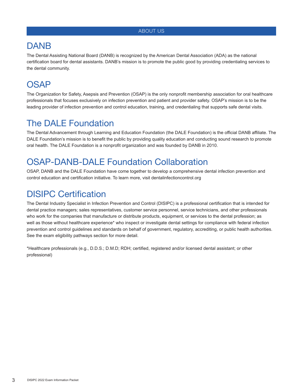#### ABOUT US

### DANB

The Dental Assisting National Board (DANB) is recognized by the American Dental Association (ADA) as the national certification board for dental assistants. DANB's mission is to promote the public good by providing credentialing services to the dental community.

### **OSAP**

The Organization for Safety, Asepsis and Prevention (OSAP) is the only nonprofit membership association for oral healthcare professionals that focuses exclusively on infection prevention and patient and provider safety. OSAP's mission is to be the leading provider of infection prevention and control education, training, and credentialing that supports safe dental visits.

### The DALE Foundation

The Dental Advancement through Learning and Education Foundation (the DALE Foundation) is the official DANB affiliate. The DALE Foundation's mission is to benefit the public by providing quality education and conducting sound research to promote oral health. The DALE Foundation is a nonprofit organization and was founded by DANB in 2010.

### OSAP-DANB-DALE Foundation Collaboration

OSAP, DANB and the DALE Foundation have come together to develop a comprehensive dental infection prevention and control education and certification initiative. To learn more, visit dentalinfectioncontrol.org

### DISIPC Certification

The Dental Industry Specialist in Infection Prevention and Control (DISIPC) is a professional certification that is intended for dental practice managers; sales representatives, customer service personnel, service technicians, and other professionals who work for the companies that manufacture or distribute products, equipment, or services to the dental profession; as well as those without healthcare experience\* who inspect or investigate dental settings for compliance with federal infection prevention and control guidelines and standards on behalf of government, regulatory, accrediting, or public health authorities. See the exam eligibility pathways section for more detail.

\*Healthcare professionals (e.g., D.D.S.; D.M.D; RDH; certified, registered and/or licensed dental assistant; or other professional)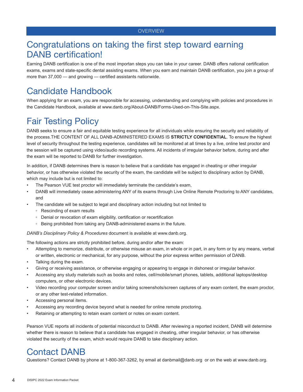### Congratulations on taking the first step toward earning DANB certification!

Earning DANB certification is one of the most importan steps you can take in your career. DANB offers national certification exams, exams and state-specific dental assisting exams. When you earn and maintain DANB certification, you join a group of more than 37,000 — and growing — certified assistants nationwide.

### Candidate Handbook

When applying for an exam, you are responsible for accessing, understanding and complying with policies and procedures in the Candidate Handbook, available at www.danb.org/About-DANB/Forms-Used-on-This-Site.aspx.

### Fair Testing Policy

DANB seeks to ensure a fair and equitable testing experience for all individuals while ensuring the security and reliability of the process.THE CONTENT OF ALL DANB-ADMINISTERED EXAMS IS **STRICTLY CONFIDENTIAL**. To ensure the highest level of security throughout the testing experience, candidates will be monitored at all times by a live, online test proctor and the session will be captured using video/audio recording systems. All incidents of irregular behavior before, during and after the exam will be reported to DANB for further investigation.

In addition, if DANB determines there is reason to believe that a candidate has engaged in cheating or other irregular behavior, or has otherwise violated the security of the exam, the candidate will be subject to disciplinary action by DANB, which may include but is not limited to:

- The Pearson VUE test proctor will immediately terminate the candidate's exam,
- DANB will immediately cease administering ANY of its exams through Live Online Remote Proctoring to ANY candidates, and
- The candidate will be subject to legal and disciplinary action including but not limited to
	- Rescinding of exam results
	- Denial or revocation of exam eligibility, certification or recertification
	- Being prohibited from taking any DANB-administered exams in the future.

*DANB's Disciplinary Policy & Procedures* document is available at www.danb.org.

The following actions are strictly prohibited before, during and/or after the exam:

- Attempting to memorize, distribute, or otherwise misuse an exam, in whole or in part, in any form or by any means, verbal or written, electronic or mechanical, for any purpose, without the prior express written permission of DANB.
- Talking during the exam.
- Giving or receiving assistance, or otherwise engaging or appearing to engage in dishonest or irregular behavior.
- Accessing any study materials such as books and notes, cell/mobile/smart phones, tablets, additional laptops/desktop computers, or other electronic devices.
- Video recording your computer screen and/or taking screenshots/screen captures of any exam content, the exam proctor, or any other test-related information.
- Accessing personal items.
- Accessing any recording device beyond what is needed for online remote proctoring.
- Retaining or attempting to retain exam content or notes on exam content.

Pearson VUE reports all incidents of potential misconduct to DANB. After reviewing a reported incident, DANB will determine whether there is reason to believe that a candidate has engaged in cheating, other irregular behavior, or has otherwise violated the security of the exam, which would require DANB to take disciplinary action.

### Contact DANB

Questions? Contact DANB by phone at 1-800-367-3262, by email at danbmail@danb.org or on the web at www.danb.org.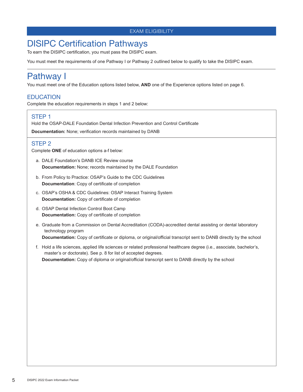#### EXAM ELIGIBILITY

### DISIPC Certification Pathways

To earn the DISIPC certification, you must pass the DISIPC exam.

You must meet the requirements of one Pathway I or Pathway 2 outlined below to qualify to take the DISIPC exam.

### Pathway I

You must meet one of the Education options listed below, **AND** one of the Experience options listed on page 6.

#### **EDUCATION**

Complete the education requirements in steps 1 and 2 below:

#### STEP 1

Hold the OSAP-DALE Foundation Dental Infection Prevention and Control Certificate **Documentation:** None; verification records maintained by DANB

#### STEP 2

Complete **ONE** of education options a-f below:

- a. DALE Foundation's DANB ICE Review course **Documentation:** None; records maintained by the DALE Foundation
- b. From Policy to Practice: OSAP's Guide to the CDC Guidelines **Documentation**: Copy of certificate of completion
- c. OSAP's OSHA & CDC Guidelines: OSAP Interact Training System **Documentation:** Copy of certificate of completion
- d. OSAP Dental Infection Control Boot Camp **Documentation:** Copy of certificate of completion
- e. Graduate from a Commission on Dental Accreditation (CODA)-accredited dental assisting or dental laboratory technology program **Documentation:** Copy of certificate or diploma, or original/official transcript sent to DANB directly by the school
- f. Hold a life sciences, applied life sciences or related professional healthcare degree (i.e., associate, bachelor's, master's or doctorate). See p. 8 for list of accepted degrees. **Documentation:** Copy of diploma or original/official transcript sent to DANB directly by the school

5 DISIPC 2022 Exam Information Packet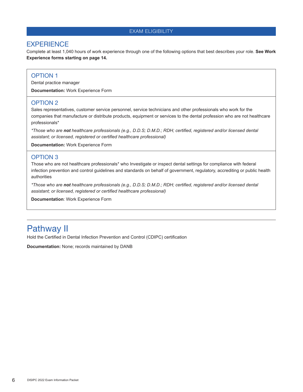#### EXAM ELIGIBILITY

#### **EXPERIENCE**

Complete at least 1,040 hours of work experience through one of the following options that best describes your role. **See Work Experience forms starting on page 14.**

#### OPTION 1

Dental practice manager

**Documentation:** Work Experience Form

#### OPTION 2

Sales representatives, customer service personnel, service technicians and other professionals who work for the companies that manufacture or distribute products, equipment or services to the dental profession who are not healthcare professionals\*

*\*Those who are not healthcare professionals (e.g., D.D.S; D.M.D.; RDH; certified, registered and/or licensed dental assistant; or licensed, registered or certified healthcare professional)*

**Documentation:** Work Experience Form

#### OPTION 3

Those who are not healthcare professionals\* who Investigate or inspect dental settings for compliance with federal infection prevention and control guidelines and standards on behalf of government, regulatory, accrediting or public health authorities

*\*Those who are not healthcare professionals (e.g., D.D.S; D.M.D.; RDH; certified, registered and/or licensed dental assistant; or licensed, registered or certified healthcare professional)*

**Documentation**: Work Experience Form

### Pathway II

Hold the Certified in Dental Infection Prevention and Control (CDIPC) certification

**Documentation:** None; records maintained by DANB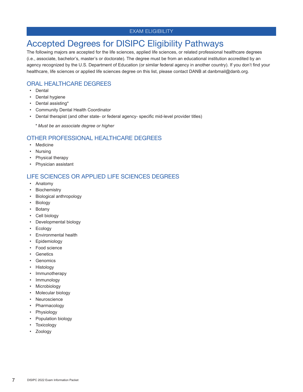#### EXAM ELIGIBILITY

### Accepted Degrees for DISIPC Eligibility Pathways

The following majors are accepted for the life sciences, applied life sciences, or related professional healthcare degrees (i.e., associate, bachelor's, master's or doctorate). The degree must be from an educational institution accredited by an agency recognized by the U.S. Department of Education (or similar federal agency in another country). If you don't find your healthcare, life sciences or applied life sciences degree on this list, please contact DANB at danbmail@danb.org.

#### ORAL HEALTHCARE DEGREES

- Dental
- Dental hygiene
- Dental assisting\*
- Community Dental Health Coordinator
- Dental therapist (and other state- or federal agency- specific mid-level provider titles)
	- *\* Must be an associate degree or higher*

#### OTHER PROFESSIONAL HEALTHCARE DEGREES

- Medicine
- Nursing
- Physical therapy
- Physician assistant

#### LIFE SCIENCES OR APPLIED LIFE SCIENCES DEGREES

- Anatomy
- Biochemistry
- Biological anthropology
- Biology
- Botany
- Cell biology
- Developmental biology
- Ecology
- Environmental health
- Epidemiology
- Food science
- Genetics
- Genomics
- Histology
- Immunotherapy
- Immunology
- Microbiology
- Molecular biology
- Neuroscience
- Pharmacology
- Physiology
- Population biology
- Toxicology
- Zoology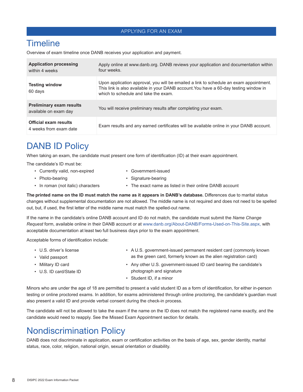#### APPLYING FOR AN EXAM

#### **Timeline**

Overview of exam timeline once DANB receives your application and payment.

| <b>Application processing</b><br>within 4 weeks          | Apply online at www.danb.org. DANB reviews your application and documentation within<br>four weeks.                                                                                                                     |
|----------------------------------------------------------|-------------------------------------------------------------------------------------------------------------------------------------------------------------------------------------------------------------------------|
| <b>Testing window</b><br>60 days                         | Upon application approval, you will be emailed a link to schedule an exam appointment.<br>This link is also available in your DANB account. You have a 60-day testing window in<br>which to schedule and take the exam. |
| <b>Preliminary exam results</b><br>available on exam day | You will receive preliminary results after completing your exam.                                                                                                                                                        |
| <b>Official exam results</b><br>4 weeks from exam date   | Exam results and any earned certificates will be available online in your DANB account.                                                                                                                                 |

### DANB ID Policy

When taking an exam, the candidate must present one form of identification (ID) at their exam appointment.

The candidate's ID must be:

- Currently valid, non-expired Government-issued
- 
- Photo-bearing  **Signature-bearing**
- In roman (not italic) characters The exact name as listed in their online DANB account
	-

**The printed name on the ID must match the name as it appears in DANB's database.** Differences due to marital status changes without supplemental documentation are not allowed. The middle name is not required and does not need to be spelled out, but, if used, the first letter of the middle name must match the spelled-out name.

If the name in the candidate's online DANB account and ID do not match, the candidate must submit the *Name Change Request* form, available online in their DANB account or at www.danb.org/About-DANB/Forms-Used-on-This-Site.aspx, with acceptable documentation at least two full business days prior to the exam appointment.

Acceptable forms of identification include:

- U.S. driver's license A U.S. government-issued permanent resident card (commonly known
- 
- 
- 
- Valid passport as the green card, formerly known as the alien registration card)
- Military ID card **Any other U.S. government-issued ID card bearing the candidate's** • U.S. ID card/State ID photograph and signature
	- Student ID, if a minor

Minors who are under the age of 18 are permitted to present a valid student ID as a form of identification, for either in-person testing or online proctored exams. In addition, for exams administered through online proctoring, the candidate's guardian must also present a valid ID and provide verbal consent during the check-in process.

The candidate will not be allowed to take the exam if the name on the ID does not match the registered name exactly, and the candidate would need to reapply. See the Missed Exam Appointment section for details.

### Nondiscrimination Policy

DANB does not discriminate in application, exam or certification activities on the basis of age, sex, gender identity, marital status, race, color, religion, national origin, sexual orientation or disability.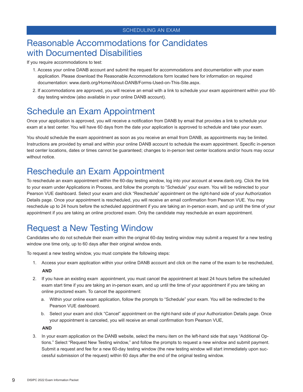### Reasonable Accommodations for Candidates with Documented Disabilities

#### If you require accommodations to test:

- 1. Access your online DANB account and submit the request for accommodations and documentation with your exam application. Please download the Reasonable Accommodations form located here for information on required documentation: www.danb.org/Home/About-DANB/Forms-Used-on-This-Site.aspx.
- 2. If accommodations are approved, you will receive an email with a link to schedule your exam appointment within your 60 day testing window (also available in your online DANB account).

### Schedule an Exam Appointment

Once your application is approved, you will receive a notification from DANB by email that provides a link to schedule your exam at a test center. You will have 60 days from the date your application is approved to schedule and take your exam.

You should schedule the exam appointment as soon as you receive an email from DANB, as appointments may be limited. Instructions are provided by email and within your online DANB account to schedule the exam appointment. Specific in-person test center locations, dates or times cannot be guaranteed; changes to in-person test center locations and/or hours may occur without notice.

### Reschedule an Exam Appointment

To reschedule an exam appointment within the 60-day testing window, log into your account at www.danb.org. Click the link to your exam under Applications in Process, and follow the prompts to "Schedule" your exam. You will be redirected to your Pearson VUE dashboard. Select your exam and click "Reschedule" appointment on the right-hand side of your Authorization Details page. Once your appointment is rescheduled, you will receive an email confirmation from Pearson VUE. You may reschedule up to 24 hours before the scheduled appointment if you are taking an in-person exam, and up until the time of your appointment if you are taking an online proctored exam. Only the candidate may reschedule an exam appointment.

### Request a New Testing Window

Candidates who do not schedule their exam within the original 60-day testing window may submit a request for a new testing window one time only, up to 60 days after their original window ends.

To request a new testing window, you must complete the following steps:

- 1. Access your exam application within your online DANB account and click on the name of the exam to be rescheduled, **AND**
- 2. If you have an existing exam appointment, you must cancel the appointment at least 24 hours before the scheduled exam start time if you are taking an in-person exam, and up until the time of your appointment if you are taking an online proctored exam. To cancel the appointment:
	- a. Within your online exam application, follow the prompts to "Schedule" your exam. You will be redirected to the Pearson VUE dashboard.
	- b. Select your exam and click "Cancel" appointment on the right-hand side of your Authorization Details page. Once your appointment is canceled, you will receive an email confirmation from Pearson VUE,

**AND**

3. In your exam application on the DANB website, select the menu item on the left-hand side that says "Additional Options." Select "Request New Testing window," and follow the prompts to request a new window and submit payment. Submit a request and fee for a new 60-day testing window (the new testing window will start immediately upon successful submission of the request) within 60 days after the end of the original testing window.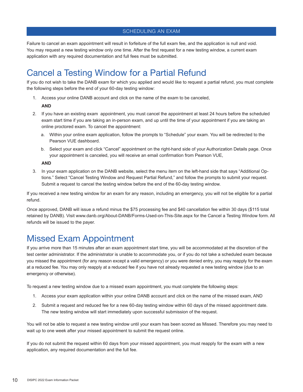SCHEDULING AN EXAM

Failure to cancel an exam appointment will result in forfeiture of the full exam fee, and the application is null and void. You may request a new testing window only one time. After the first request for a new testing window, a current exam application with any required documentation and full fees must be submitted.

### Cancel a Testing Window for a Partial Refund

If you do not wish to take the DANB exam for which you applied and would like to request a partial refund, you must complete the following steps before the end of your 60-day testing window:

1. Access your online DANB account and click on the name of the exam to be canceled,

#### **AND**

- 2. If you have an existing exam appointment, you must cancel the appointment at least 24 hours before the scheduled exam start time if you are taking an in-person exam, and up until the time of your appointment if you are taking an online proctored exam. To cancel the appointment:
	- a. Within your online exam application, follow the prompts to "Schedule" your exam. You will be redirected to the Pearson VUE dashboard.
	- b. Select your exam and click "Cancel" appointment on the right-hand side of your Authorization Details page. Once your appointment is canceled, you will receive an email confirmation from Pearson VUE,

#### **AND**

3. In your exam application on the DANB website, select the menu item on the left-hand side that says "Additional Options." Select "Cancel Testing Window and Request Partial Refund," and follow the prompts to submit your request. Submit a request to cancel the testing window before the end of the 60-day testing window.

If you received a new testing window for an exam for any reason, including an emergency, you will not be eligible for a partial refund.

Once approved, DANB will issue a refund minus the \$75 processing fee and \$40 cancellation fee within 30 days (\$115 total retained by DANB). Visit www.danb.org/About-DANB/Forms-Used-on-This-Site.aspx for the Cancel a Testing Window form. All refunds will be issued to the payer.

### Missed Exam Appointment

If you arrive more than 15 minutes after an exam appointment start time, you will be accommodated at the discretion of the test center administrator. If the administrator is unable to accommodate you, or if you do not take a scheduled exam because you missed the appointment (for any reason except a valid emergency) or you were denied entry, you may reapply for the exam at a reduced fee. You may only reapply at a reduced fee if you have not already requested a new testing window (due to an emergency or otherwise).

To request a new testing window due to a missed exam appointment, you must complete the following steps:

- 1. Access your exam application within your online DANB account and click on the name of the missed exam, AND
- 2. Submit a request and reduced fee for a new 60-day testing window within 60 days of the missed appointment date. The new testing window will start immediately upon successful submission of the request.

You will not be able to request a new testing window until your exam has been scored as Missed. Therefore you may need to wait up to one week after your missed appointment to submit the request online.

If you do not submit the request within 60 days from your missed appointment, you must reapply for the exam with a new application, any required documentation and the full fee.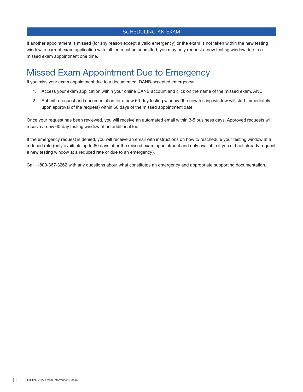#### SCHEDULING AN EXAM

If another appointment is missed (for any reason except a valid emergency) or the exam is not taken within the new testing window, a current exam application with full fee must be submitted; you may only request a new testing window due to a missed exam appointment one time.

### Missed Exam Appointment Due to Emergency

If you miss your exam appointment due to a documented, DANB-accepted emergency:

- 1. Access your exam application within your online DANB account and click on the name of the missed exam, AND
- 2. Submit a request and documentation for a new 60-day testing window (the new testing window will start immediately upon approval of the request) within 60 days of the missed appointment date

Once your request has been reviewed, you will receive an automated email within 3-5 business days. Approved requests will receive a new 60-day testing window at no additional fee.

If the emergency request is denied, you will receive an email with instructions on how to reschedule your testing window at a reduced rate (only available up to 60 days after the missed exam appointment and only available if you did not already request a new testing window at a reduced rate or due to an emergency).

Call 1-800-367-3262 with any questions about what constitutes an emergency and appropriate supporting documentation.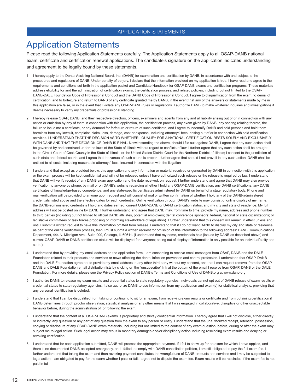#### APPLICATION STATEMENTS

### Application Statements

Please read the following Application Statements carefully. The Application Statements apply to all OSAP-DANB national exam, certificate and certification renewal applications. The candidate's signature on the application indicates understanding and agreement to be legally bound by these statements.

- 1. I hereby apply to the Dental Assisting National Board, Inc. (DANB) for examination and certification by DANB, in accordance with and subject to the procedures and regulations of DANB. Under penalty of perjury, I declare that the information provided on my application is true. I have read and agree to the requirements and conditions set forth in the application packet and Candidate Handbook for OSAP-DANB exams and certification programs. These materials address eligibility for and the administration of certification exams, the certification process, and related policies, including but not limited to the OSAP-DANB-DALE Foundation Code of Professional Conduct and the DANB Code of Professional Conduct. I agree to disqualification from the exam, to denial of certification, and to forfeiture and return to DANB of any certificate granted me by DANB, in the event that any of the answers or statements made by me in this application are false, or in the event that I violate any OSAP-DANB rules or regulations. I authorize DANB to make whatever inquiries and investigations it deems necessary to verify my credentials or professional standing..
- 2. I hereby release OSAP, DANB, and their respective directors, officers, examiners and agents from any and all liability arising out of or in connection with any action or omission by any of them in connection with this application, the certification process, any exam given by DANB, any scoring relating thereto, the failure to issue me a certificate, or any demand for forfeiture or return of such certificate, and I agree to indemnify DANB and said persons and hold them harmless from any lawsuit, complaint, claim, loss, damage, cost or expense, including attorneys' fees, arising out of or in connection with said certification activities. I UNDERSTAND THAT THE DECISION AS TO WHETHER I QUALIFY FOR A NATIONAL CERTIFICATION RESTS SOLELY AND EXCLUSIVELY WITH DANB AND THAT THE DECISION OF DANB IS FINAL. Notwithstanding the above, should I file suit against DANB, I agree that any such action shall be governed by and construed under the laws of the State of Illinois without regard to conflicts of law. I further agree that any such action shall be brought in the Circuit Court of Cook County in the State of Illinois, or the United States District Court for the Northern District of Illinois; I consent to the jurisdiction of such state and federal courts; and I agree that the venue of such courts is proper. I further agree that should I not prevail in any such action, DANB shall be entitled to all costs, including reasonable attorneys' fees, incurred in connection with the litigation
- 3. I understand that except as provided below, this application and any information or material received or generated by DANB in connection with this application or the exam process will be kept confidential and will not be released unless I have authorized such release or the release is required by law. I understand that DANB will verify receipt of any DANB exam application and the date received, on request. I further understand and agree that DANB may also provide verification to anyone by phone, by mail or on DANB's website regarding whether I hold any OSAP-DANB certification, any DANB certifications, any DANB certificates of knowledge-based competence, and any state-specific certificates administered by DANB on behalf of a state regulatory body. Phone and mail verification will be provided to anyone upon request and will consist of oral or written confirmation of whether I hold any of the DANB-administered credentials listed above and the effective dates for each credential. Online verification through DANB's website may consist of online display of my name, the DANB-administered credentials I hold and dates earned, current OSAP-DANB or DANB certification status, and my city and state of residence. My full address will not be posted online by DANB. I further understand and agree that DANB may, from time to time, provide my name, address and phone number to third parties (including but not limited to official DANB affiliates, potential employers; dental conference sponsors; federal, national or state organizations; or legislative committees or task forces proposing or informing stakeholders of legislation). I further understand that this consent will remain in effect unless and until I submit a written request to have this information omitted from release. I understand that if I do not want DANB to display my city and state of residence as part of the online verification process, then I must submit a written request for omission of this information to the following address: DANB Communications Department, 444 N. Michigan Ave., Suite 900, Chicago, IL 60611. (I understand that my name, credentials held [issued by DANB as described above] and current OSAP-DANB or DANB certification status will be displayed for everyone; opting out of display of information is only possible for an individual's city and state.)
- 4. I understand that by providing my email address on the application form, I am consenting to receive email messages from OSAP, DANB and the DALE Foundation related to their products and services or news affecting the dental infection prevention and control profession. I understand that OSAP, DANB and the DALE Foundation agree not to provide my email address to any other third party without my consent, and that I can request removal from the OSAP, DANB and DALE Foundation email distribution lists by clicking on the "unsubscribe" link at the bottom of the email I receive from OSAP, DANB or the DALE Foundation. For more details, please see the Privacy Policy section of DANB's Terms and Conditions of Use of DANB.org at www.danb.org.
- 5. I authorize DANB to release my exam results and credential status to state regulatory agencies. Individuals cannot opt out of DANB release of exam results or credential status to state regulatory agencies. I also authorize DANB to use information from my application and exam(s) for statistical analysis, providing that any personal identification is deleted.
- 6. I understand that I can be disqualified from taking or continuing to sit for an exam, from receiving exam results or certificate and from obtaining certification if DANB determines through proctor observation, statistical analysis or any other means that I was engaged in collaborative, disruptive or other unacceptable behavior before, during the administration of, or following the exam.
- 7. I understand that the content of all OSAP-DANB exams is proprietary and strictly confidential information. I hereby agree that I will not disclose, either directly or indirectly, any question or any part of any question from the exam to any person or entity. I understand that the unauthorized receipt, retention, possession, copying or disclosure of any OSAP-DANB exam materials, including but not limited to the content of any exam question, before, during or after the exam may subject me to legal action. Such legal action may result in monetary damages and/or disciplinary action including rescinding exam results and denying or revoking certification.
- 8. I understand that for each application submitted, DANB will process the appropriate payment. If I fail to show up for an exam for which I have applied, and there is no documented DANB-accepted emergency, and I failed to comply with DANB cancellation policies, I am still obligated to pay the full exam fee. I further understand that taking the exam and then revoking payment constitutes the wrongful use of DANB products and services and I may be subjected to legal action. I am obligated to pay for the exam whether I pass or fail. I agree not to dispute the exam fee. Exam results will be rescinded if the exam fee is not paid in full.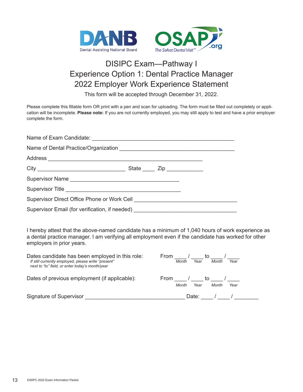

### DISIPC Exam—Pathway I Experience Option 1: Dental Practice Manager 2022 Employer Work Experience Statement

This form will be accepted through December 31, 2022.

Please complete this fillable form OR print with a pen and scan for uploading. The form must be filled out completely or application will be incomplete. **Please note:** If you are not currently employed, you may still apply to test and have a prior employer complete the form.

| Supervisor Direct Office Phone or Work Cell [1991] [2001] [2002] [2002] [2002] [2003] [3002] [3002] [3002] [300 |  |  |  |
|-----------------------------------------------------------------------------------------------------------------|--|--|--|
|                                                                                                                 |  |  |  |

I hereby attest that the above-named candidate has a minimum of 1,040 hours of work experience as a dental practice manager. I am verifying all employment even if the candidate has worked for other employers in prior years.

| Dates candidate has been employed in this role:<br>If still currently employed, please write "present"<br>next to "to" field, or enter today's month/year | From<br>τo<br>Year<br>Year<br>Month<br>Month |
|-----------------------------------------------------------------------------------------------------------------------------------------------------------|----------------------------------------------|
| Dates of previous employment (if applicable):                                                                                                             | From<br>to<br>Year<br>Month<br>Year<br>Month |
| Signature of Supervisor                                                                                                                                   | Date:                                        |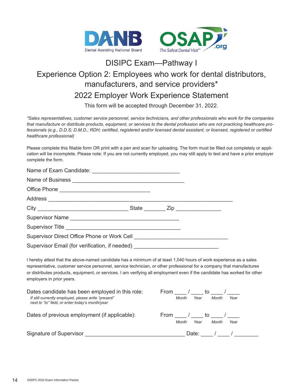

### DISIPC Exam—Pathway I Experience Option 2: Employees who work for dental distributors, manufacturers, and service providers\* 2022 Employer Work Experience Statement

This form will be accepted through December 31, 2022.

*\*Sales representatives, customer service personnel, service technicians, and other professionals who work for the companies that manufacture or distribute products, equipment, or services to the dental profession who are not practicing healthcare professionals (e.g., D.D.S; D.M.D.; RDH; certified, registered and/or licensed dental assistant; or licensed, registered or certified healthcare professional)*

Please complete this fillable form OR print with a pen and scan for uploading. The form must be filled out completely or application will be incomplete. Please note: If you are not currently employed, you may still apply to test and have a prior employer complete the form.

| I hereby attest that the above-named candidate has a minimum of at least 1,040 hours of work experience as a sales<br>representative, customer service personnel, service technician, or other professional for a company that manufactures<br>or distributes products, equipment, or services. I am verifying all employment even if the candidate has worked for other<br>employers in prior years. |  |  |
|-------------------------------------------------------------------------------------------------------------------------------------------------------------------------------------------------------------------------------------------------------------------------------------------------------------------------------------------------------------------------------------------------------|--|--|
| $\Box$ and a second details have been a second order to the details of the contract of the contract of the contract of the contract of the contract of the contract of the contract of the contract of the contract of the cont                                                                                                                                                                       |  |  |

| From<br>to                     |
|--------------------------------|
| Year<br>Month<br>Month<br>Year |
| From<br>to                     |
| Year<br>Year<br>Month<br>Month |
| Date:                          |
|                                |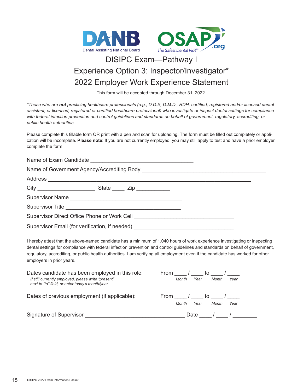

### DISIPC Exam—Pathway I Experience Option 3: Inspector/Investigator\* 2022 Employer Work Experience Statement

This form will be accepted through December 31, 2022.

*\*Those who are not practicing healthcare professionals (e.g., D.D.S; D.M.D.; RDH; certified, registered and/or licensed dental assistant; or licensed, registered or certified healthcare professional) who investigate or inspect dental settings for compliance with federal infection prevention and control guidelines and standards on behalf of government, regulatory, accrediting, or public health authorities*

Please complete this fillable form OR print with a pen and scan for uploading. The form must be filled out completely or application will be incomplete. **Please note**: If you are not currently employed, you may still apply to test and have a prior employer complete the form.

| Supervisor Email (for verification, if needed) |  |
|------------------------------------------------|--|

I hereby attest that the above-named candidate has a minimum of 1,040 hours of work experience investigating or inspecting dental settings for compliance with federal infection prevention and control guidelines and standards on behalf of government, regulatory, accrediting, or public health authorities. I am verifying all employment even if the candidate has worked for other employers in prior years.

| Dates candidate has been employed in this role:<br>If still currently employed, please write "present"<br>next to "to" field, or enter today's month/year | From<br>to<br>Year<br>Month<br>Month<br>Year |
|-----------------------------------------------------------------------------------------------------------------------------------------------------------|----------------------------------------------|
| Dates of previous employment (if applicable):                                                                                                             | From<br>to<br>Year<br>Month<br>Month<br>Year |
| Signature of Supervisor                                                                                                                                   | Date                                         |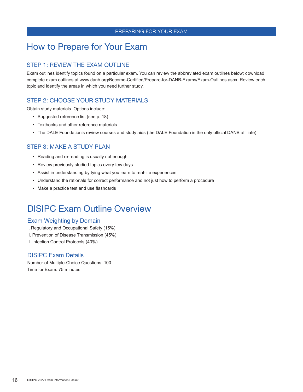### How to Prepare for Your Exam

#### STEP 1: REVIEW THE EXAM OUTLINE

Exam outlines identify topics found on a particular exam. You can review the abbreviated exam outlines below; download complete exam outlines at www.danb.org/Become-Certified/Prepare-for-DANB-Exams/Exam-Outlines.aspx. Review each topic and identify the areas in which you need further study.

#### STEP 2: CHOOSE YOUR STUDY MATERIALS

Obtain study materials. Options include:

- Suggested reference list (see p. 18)
- Textbooks and other reference materials
- The DALE Foundation's review courses and study aids (the DALE Foundation is the only official DANB affiliate)

#### STEP 3: MAKE A STUDY PLAN

- Reading and re-reading is usually not enough
- Review previously studied topics every few days
- Assist in understanding by tying what you learn to real-life experiences
- Understand the rationale for correct performance and not just how to perform a procedure
- Make a practice test and use flashcards

### DISIPC Exam Outline Overview

#### Exam Weighting by Domain

- I. Regulatory and Occupational Safety (15%)
- II. Prevention of Disease Transmission (45%)
- II. Infection Control Protocols (40%)

#### DISIPC Exam Details

Number of Multiple-Choice Questions: 100 Time for Exam: 75 minutes